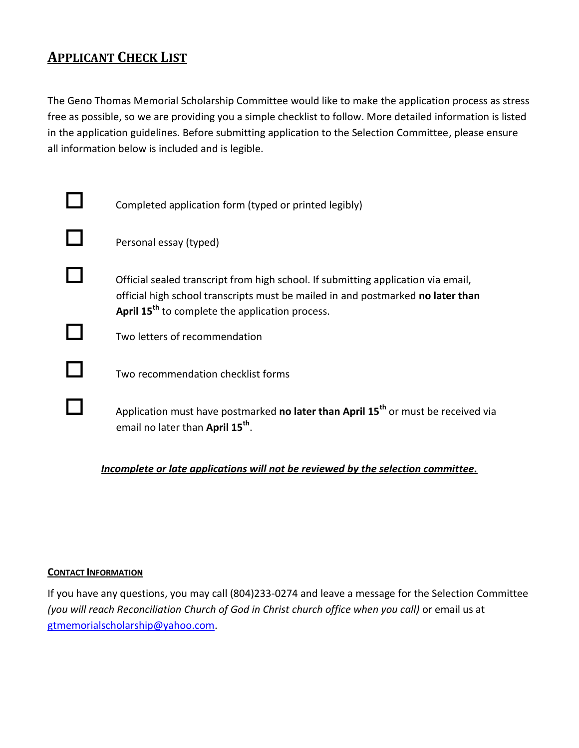## **APPLICANT CHECK LIST**

The Geno Thomas Memorial Scholarship Committee would like to make the application process as stress free as possible, so we are providing you a simple checklist to follow. More detailed information is listed in the application guidelines. Before submitting application to the Selection Committee, please ensure all information below is included and is legible.

| Completed application form (typed or printed legibly)                                                                                                                                                                               |
|-------------------------------------------------------------------------------------------------------------------------------------------------------------------------------------------------------------------------------------|
| Personal essay (typed)                                                                                                                                                                                                              |
| Official sealed transcript from high school. If submitting application via email,<br>official high school transcripts must be mailed in and postmarked no later than<br>April 15 <sup>th</sup> to complete the application process. |
| Two letters of recommendation                                                                                                                                                                                                       |
| Two recommendation checklist forms                                                                                                                                                                                                  |
| Application must have postmarked no later than April 15 <sup>th</sup> or must be received via<br>email no later than April 15 <sup>th</sup> .                                                                                       |

## *Incomplete or late applications will not be reviewed by the selection committee.*

#### **CONTACT INFORMATION**

If you have any questions, you may call (804)233-0274 and leave a message for the Selection Committee *(you will reach Reconciliation Church of God in Christ church office when you call)* or email us at [gtmemorialscholarship@yahoo.com.](mailto:gtmemorialscholarship@yahoo.com)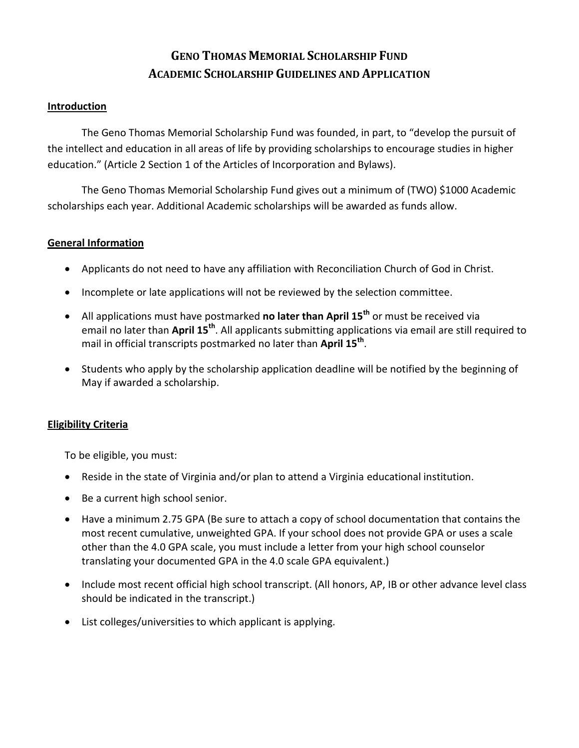## **GENO THOMAS MEMORIAL SCHOLARSHIP FUND ACADEMIC SCHOLARSHIP GUIDELINES AND APPLICATION**

#### **Introduction**

The Geno Thomas Memorial Scholarship Fund was founded, in part, to "develop the pursuit of the intellect and education in all areas of life by providing scholarships to encourage studies in higher education." (Article 2 Section 1 of the Articles of Incorporation and Bylaws).

The Geno Thomas Memorial Scholarship Fund gives out a minimum of (TWO) \$1000 Academic scholarships each year. Additional Academic scholarships will be awarded as funds allow.

#### **General Information**

- Applicants do not need to have any affiliation with Reconciliation Church of God in Christ.
- Incomplete or late applications will not be reviewed by the selection committee.
- All applications must have postmarked **no later than April 15th** or must be received via email no later than **April 15th** . All applicants submitting applications via email are still required to mail in official transcripts postmarked no later than **April 15th** .
- Students who apply by the scholarship application deadline will be notified by the beginning of May if awarded a scholarship.

## **Eligibility Criteria**

To be eligible, you must:

- Reside in the state of Virginia and/or plan to attend a Virginia educational institution.
- Be a current high school senior.
- Have a minimum 2.75 GPA (Be sure to attach a copy of school documentation that contains the most recent cumulative, unweighted GPA. If your school does not provide GPA or uses a scale other than the 4.0 GPA scale, you must include a letter from your high school counselor translating your documented GPA in the 4.0 scale GPA equivalent.)
- Include most recent official high school transcript. (All honors, AP, IB or other advance level class should be indicated in the transcript.)
- List colleges/universities to which applicant is applying.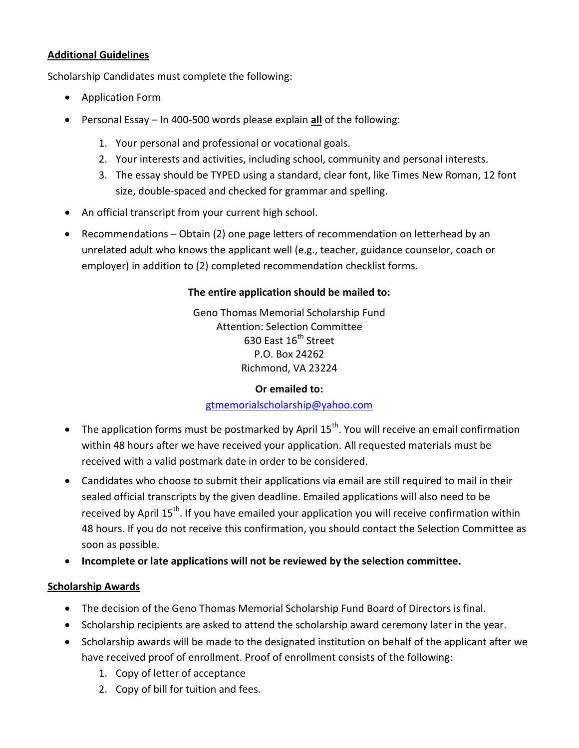## **Additional Guidelines**

Scholarship Candidates must complete the following:

- Application Form
- Personal Essay In 400-500 words please explain **all** of the following:
	- 1. Your personal and professional or vocational goals.
	- 2. Your interests and activities, including school, community and personal interests.
	- 3. The essay should be TYPED using a standard, clear font, like Times New Roman, 12 font size, double-spaced and checked for grammar and spelling.
- An official transcript from your current high school.
- Recommendations Obtain (2) one page letters of recommendation on letterhead by an unrelated adult who knows the applicant well (e.g., teacher, guidance counselor, coach or employer) in addition to (2) completed recommendation checklist forms.

## **The entire application should be mailed to:**

Geno Thomas Memorial Scholarship Fund Attention: Selection Committee 630 East 16<sup>th</sup> Street P.O. Box 24262 Richmond, VA 23224

#### **Or emailed to:**

#### [gtmemorialscholarship@yahoo.com](mailto:gtmemorialscholarship@yahoo.com)

- $\bullet$  The application forms must be postmarked by April 15<sup>th</sup>. You will receive an email confirmation within 48 hours after we have received your application. All requested materials must be received with a valid postmark date in order to be considered.
- Candidates who choose to submit their applications via email are still required to mail in their sealed official transcripts by the given deadline. Emailed applications will also need to be received by April 15<sup>th</sup>. If you have emailed your application you will receive confirmation within 48 hours. If you do not receive this confirmation, you should contact the Selection Committee as soon as possible.
- **Incomplete or late applications will not be reviewed by the selection committee.**

## **Scholarship Awards**

- The decision of the Geno Thomas Memorial Scholarship Fund Board of Directors is final.
- Scholarship recipients are asked to attend the scholarship award ceremony later in the year.
- Scholarship awards will be made to the designated institution on behalf of the applicant after we have received proof of enrollment. Proof of enrollment consists of the following:
	- 1. Copy of letter of acceptance
	- 2. Copy of bill for tuition and fees.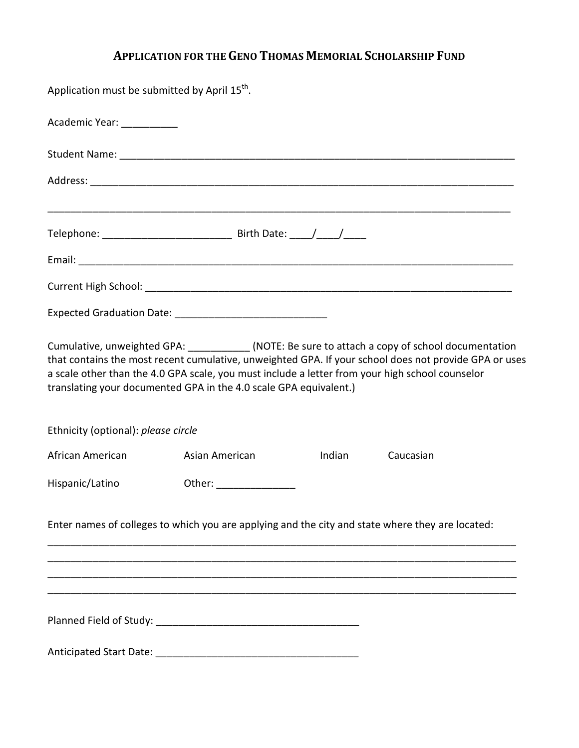# **APPLICATION FOR THE GENO THOMAS MEMORIAL SCHOLARSHIP FUND**

| Application must be submitted by April 15 <sup>th</sup> . |                                                                                                                                                                                                                                                                                                                                                                                 |        |           |  |
|-----------------------------------------------------------|---------------------------------------------------------------------------------------------------------------------------------------------------------------------------------------------------------------------------------------------------------------------------------------------------------------------------------------------------------------------------------|--------|-----------|--|
| Academic Year: ___________                                |                                                                                                                                                                                                                                                                                                                                                                                 |        |           |  |
|                                                           |                                                                                                                                                                                                                                                                                                                                                                                 |        |           |  |
|                                                           |                                                                                                                                                                                                                                                                                                                                                                                 |        |           |  |
|                                                           | ,我们的人们就会在这里的人们,我们的人们就会在这里,我们的人们就会在这里,我们的人们就会在这里,我们的人们就会在这里,我们的人们就会在这里,我们的人们就会在这里                                                                                                                                                                                                                                                                                                |        |           |  |
|                                                           |                                                                                                                                                                                                                                                                                                                                                                                 |        |           |  |
|                                                           |                                                                                                                                                                                                                                                                                                                                                                                 |        |           |  |
|                                                           |                                                                                                                                                                                                                                                                                                                                                                                 |        |           |  |
|                                                           | Cumulative, unweighted GPA: ___________(NOTE: Be sure to attach a copy of school documentation<br>that contains the most recent cumulative, unweighted GPA. If your school does not provide GPA or uses<br>a scale other than the 4.0 GPA scale, you must include a letter from your high school counselor<br>translating your documented GPA in the 4.0 scale GPA equivalent.) |        |           |  |
| Ethnicity (optional): please circle                       |                                                                                                                                                                                                                                                                                                                                                                                 |        |           |  |
| African American                                          | Asian American                                                                                                                                                                                                                                                                                                                                                                  | Indian | Caucasian |  |
| Hispanic/Latino                                           | Other: __________________                                                                                                                                                                                                                                                                                                                                                       |        |           |  |
|                                                           | Enter names of colleges to which you are applying and the city and state where they are located:                                                                                                                                                                                                                                                                                |        |           |  |
|                                                           |                                                                                                                                                                                                                                                                                                                                                                                 |        |           |  |
|                                                           |                                                                                                                                                                                                                                                                                                                                                                                 |        |           |  |
|                                                           |                                                                                                                                                                                                                                                                                                                                                                                 |        |           |  |